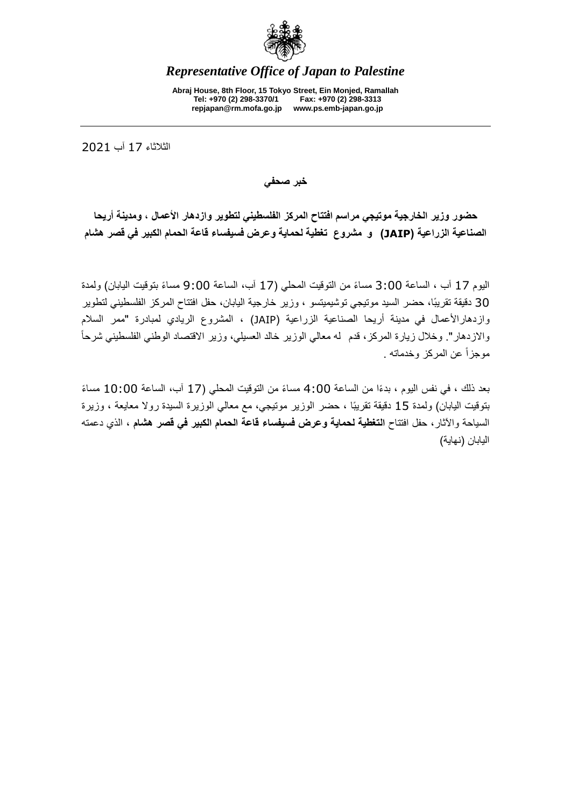

## *Representative Office of Japan to Palestine*

**Abraj House, 8th Floor, 15 Tokyo Street, Ein Monjed, Ramallah Tel: +970 (2) 298-3370/1 Fax: +970 (2) 298-3313 repjapan@rm.mofa.go.jp www.ps.emb-japan.go.jp**

الثالثاء 71 آب 0207

**خبر صحفي**

**حضور وزير الخارجية موتيجي مراسم افتتاح المركز الفلسطيني لتطوير وازدهار األعمال ، ومدينة أريحا الصناعية الزراعية )JAIP )و مشروع تغطية لحماية وعرض فسيفساء قاعة الحمام الكبير في قصر هشام**

اليوم 17 آب ، الساعة 3:00 مساءً من التوقيت المحلي (17 آب، الساعة 9:00 مساءً بتوقيت اليابان) ولمدة 30 دقيقة تقريبًا، حضر السيد موتيجي توشيميتسو ، وزير خارجية اليابان، حفل افتتاح المركز الفلسطيني لتطوير وازدهارالأعمال في مدينة أريحا الصناعية الزراعية (JAIP) ، المشروع الريادي لمبادرة "ممر السلام والازدهار". وخلال زيارة المركز، قدم له معالي الوزير خالد العسيلي، وزير الاقتصاد الوطني الفلسطيني شرحاً موجز أ عن المركز وخدماته .

بعد ذلك ، في نفس اليوم ، بدءًا من الساعة 00: 4 مساءً من التوقيت المحلي (17 آب، الساعة 10:00 مساءً بتوقيت اليابان) ولمدة 15 دقيقة تقريبًا ، حضر الوزير موتيجي، مع معالي الوزيرة السيدة رولا معايعة ، وزيرة السياحة واآلثار، حفل افتتاح **التغطية لحماية وعرض فسيفساء قاعة الحمام الكبير في قصر هشام** ، الذي دعمته اليابان (نهاية)